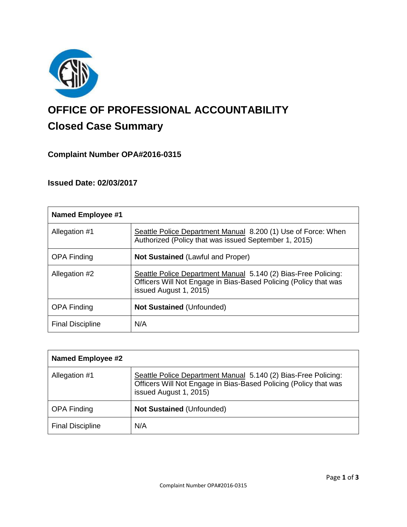

# **OFFICE OF PROFESSIONAL ACCOUNTABILITY Closed Case Summary**

# **Complaint Number OPA#2016-0315**

# **Issued Date: 02/03/2017**

| <b>Named Employee #1</b> |                                                                                                                                                              |
|--------------------------|--------------------------------------------------------------------------------------------------------------------------------------------------------------|
| Allegation #1            | Seattle Police Department Manual 8.200 (1) Use of Force: When<br>Authorized (Policy that was issued September 1, 2015)                                       |
| <b>OPA Finding</b>       | <b>Not Sustained (Lawful and Proper)</b>                                                                                                                     |
| Allegation #2            | Seattle Police Department Manual 5.140 (2) Bias-Free Policing:<br>Officers Will Not Engage in Bias-Based Policing (Policy that was<br>issued August 1, 2015) |
| <b>OPA Finding</b>       | <b>Not Sustained (Unfounded)</b>                                                                                                                             |
| <b>Final Discipline</b>  | N/A                                                                                                                                                          |

| <b>Named Employee #2</b> |                                                                                                                                                              |
|--------------------------|--------------------------------------------------------------------------------------------------------------------------------------------------------------|
| Allegation #1            | Seattle Police Department Manual 5.140 (2) Bias-Free Policing:<br>Officers Will Not Engage in Bias-Based Policing (Policy that was<br>issued August 1, 2015) |
| <b>OPA Finding</b>       | <b>Not Sustained (Unfounded)</b>                                                                                                                             |
| <b>Final Discipline</b>  | N/A                                                                                                                                                          |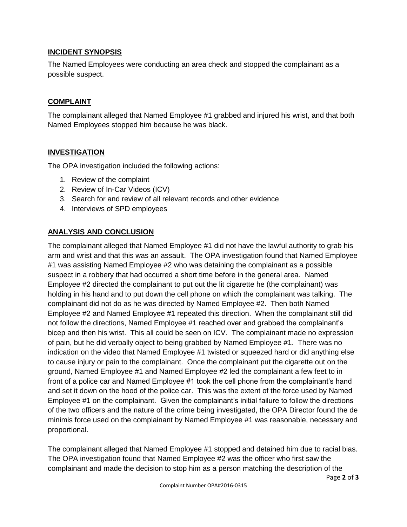# **INCIDENT SYNOPSIS**

The Named Employees were conducting an area check and stopped the complainant as a possible suspect.

# **COMPLAINT**

The complainant alleged that Named Employee #1 grabbed and injured his wrist, and that both Named Employees stopped him because he was black.

# **INVESTIGATION**

The OPA investigation included the following actions:

- 1. Review of the complaint
- 2. Review of In-Car Videos (ICV)
- 3. Search for and review of all relevant records and other evidence
- 4. Interviews of SPD employees

# **ANALYSIS AND CONCLUSION**

The complainant alleged that Named Employee #1 did not have the lawful authority to grab his arm and wrist and that this was an assault. The OPA investigation found that Named Employee #1 was assisting Named Employee #2 who was detaining the complainant as a possible suspect in a robbery that had occurred a short time before in the general area. Named Employee #2 directed the complainant to put out the lit cigarette he (the complainant) was holding in his hand and to put down the cell phone on which the complainant was talking. The complainant did not do as he was directed by Named Employee #2. Then both Named Employee #2 and Named Employee #1 repeated this direction. When the complainant still did not follow the directions, Named Employee #1 reached over and grabbed the complainant's bicep and then his wrist. This all could be seen on ICV. The complainant made no expression of pain, but he did verbally object to being grabbed by Named Employee #1. There was no indication on the video that Named Employee #1 twisted or squeezed hard or did anything else to cause injury or pain to the complainant. Once the complainant put the cigarette out on the ground, Named Employee #1 and Named Employee #2 led the complainant a few feet to in front of a police car and Named Employee #1 took the cell phone from the complainant's hand and set it down on the hood of the police car. This was the extent of the force used by Named Employee #1 on the complainant. Given the complainant's initial failure to follow the directions of the two officers and the nature of the crime being investigated, the OPA Director found the de minimis force used on the complainant by Named Employee #1 was reasonable, necessary and proportional.

The complainant alleged that Named Employee #1 stopped and detained him due to racial bias. The OPA investigation found that Named Employee #2 was the officer who first saw the complainant and made the decision to stop him as a person matching the description of the